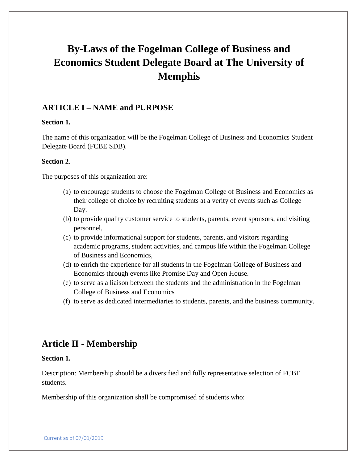# **By-Laws of the Fogelman College of Business and Economics Student Delegate Board at The University of Memphis**

## **ARTICLE I – NAME and PURPOSE**

#### **Section 1.**

The name of this organization will be the Fogelman College of Business and Economics Student Delegate Board (FCBE SDB).

#### **Section 2**.

The purposes of this organization are:

- (a) to encourage students to choose the Fogelman College of Business and Economics as their college of choice by recruiting students at a verity of events such as College Day.
- (b) to provide quality customer service to students, parents, event sponsors, and visiting personnel,
- (c) to provide informational support for students, parents, and visitors regarding academic programs, student activities, and campus life within the Fogelman College of Business and Economics,
- (d) to enrich the experience for all students in the Fogelman College of Business and Economics through events like Promise Day and Open House.
- (e) to serve as a liaison between the students and the administration in the Fogelman College of Business and Economics
- (f) to serve as dedicated intermediaries to students, parents, and the business community.

# **Article II - Membership**

#### **Section 1.**

Description: Membership should be a diversified and fully representative selection of FCBE students.

Membership of this organization shall be compromised of students who: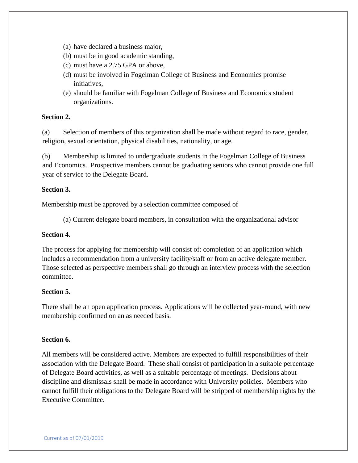- (a) have declared a business major,
- (b) must be in good academic standing,
- (c) must have a 2.75 GPA or above,
- (d) must be involved in Fogelman College of Business and Economics promise initiatives,
- (e) should be familiar with Fogelman College of Business and Economics student organizations.

#### **Section 2.**

(a) Selection of members of this organization shall be made without regard to race, gender, religion, sexual orientation, physical disabilities, nationality, or age.

(b) Membership is limited to undergraduate students in the Fogelman College of Business and Economics. Prospective members cannot be graduating seniors who cannot provide one full year of service to the Delegate Board.

#### **Section 3.**

Membership must be approved by a selection committee composed of

(a) Current delegate board members, in consultation with the organizational advisor

#### **Section 4.**

The process for applying for membership will consist of: completion of an application which includes a recommendation from a university facility/staff or from an active delegate member. Those selected as perspective members shall go through an interview process with the selection committee.

#### **Section 5.**

There shall be an open application process. Applications will be collected year-round, with new membership confirmed on an as needed basis.

### **Section 6.**

All members will be considered active. Members are expected to fulfill responsibilities of their association with the Delegate Board. These shall consist of participation in a suitable percentage of Delegate Board activities, as well as a suitable percentage of meetings. Decisions about discipline and dismissals shall be made in accordance with University policies. Members who cannot fulfill their obligations to the Delegate Board will be stripped of membership rights by the Executive Committee.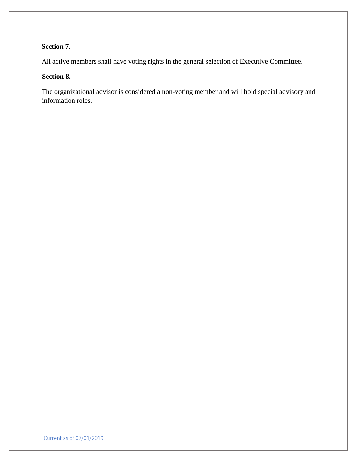# **Section 7.**

All active members shall have voting rights in the general selection of Executive Committee.

#### **Section 8.**

The organizational advisor is considered a non-voting member and will hold special advisory and information roles.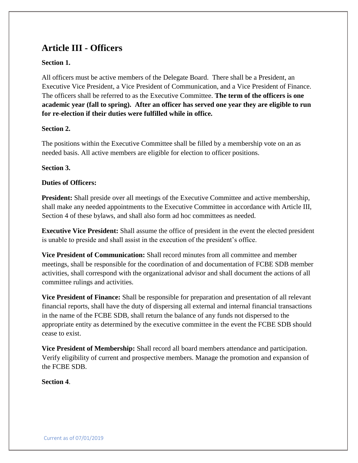# **Article III - Officers**

### **Section 1.**

All officers must be active members of the Delegate Board. There shall be a President, an Executive Vice President, a Vice President of Communication, and a Vice President of Finance. The officers shall be referred to as the Executive Committee. **The term of the officers is one academic year (fall to spring). After an officer has served one year they are eligible to run for re-election if their duties were fulfilled while in office.**

#### **Section 2.**

The positions within the Executive Committee shall be filled by a membership vote on an as needed basis. All active members are eligible for election to officer positions.

#### **Section 3.**

#### **Duties of Officers:**

**President:** Shall preside over all meetings of the Executive Committee and active membership, shall make any needed appointments to the Executive Committee in accordance with Article III, Section 4 of these bylaws, and shall also form ad hoc committees as needed.

**Executive Vice President:** Shall assume the office of president in the event the elected president is unable to preside and shall assist in the execution of the president's office.

**Vice President of Communication:** Shall record minutes from all committee and member meetings, shall be responsible for the coordination of and documentation of FCBE SDB member activities, shall correspond with the organizational advisor and shall document the actions of all committee rulings and activities.

**Vice President of Finance:** Shall be responsible for preparation and presentation of all relevant financial reports, shall have the duty of dispersing all external and internal financial transactions in the name of the FCBE SDB, shall return the balance of any funds not dispersed to the appropriate entity as determined by the executive committee in the event the FCBE SDB should cease to exist.

**Vice President of Membership:** Shall record all board members attendance and participation. Verify eligibility of current and prospective members. Manage the promotion and expansion of the FCBE SDB.

**Section 4**.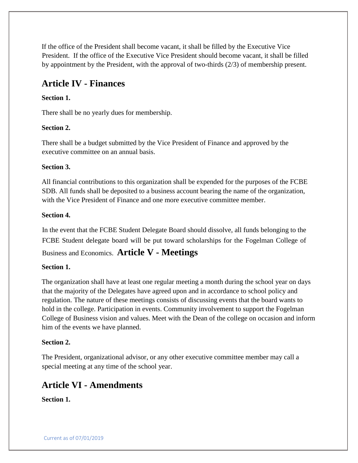If the office of the President shall become vacant, it shall be filled by the Executive Vice President. If the office of the Executive Vice President should become vacant, it shall be filled by appointment by the President, with the approval of two-thirds (2/3) of membership present.

# **Article IV - Finances**

## **Section 1.**

There shall be no yearly dues for membership.

### **Section 2.**

There shall be a budget submitted by the Vice President of Finance and approved by the executive committee on an annual basis.

### **Section 3.**

All financial contributions to this organization shall be expended for the purposes of the FCBE SDB. All funds shall be deposited to a business account bearing the name of the organization, with the Vice President of Finance and one more executive committee member.

#### **Section 4.**

In the event that the FCBE Student Delegate Board should dissolve, all funds belonging to the FCBE Student delegate board will be put toward scholarships for the Fogelman College of

Business and Economics. **Article V - Meetings**

### **Section 1.**

The organization shall have at least one regular meeting a month during the school year on days that the majority of the Delegates have agreed upon and in accordance to school policy and regulation. The nature of these meetings consists of discussing events that the board wants to hold in the college. Participation in events. Community involvement to support the Fogelman College of Business vision and values. Meet with the Dean of the college on occasion and inform him of the events we have planned.

### **Section 2.**

The President, organizational advisor, or any other executive committee member may call a special meeting at any time of the school year.

# **Article VI - Amendments**

**Section 1.**